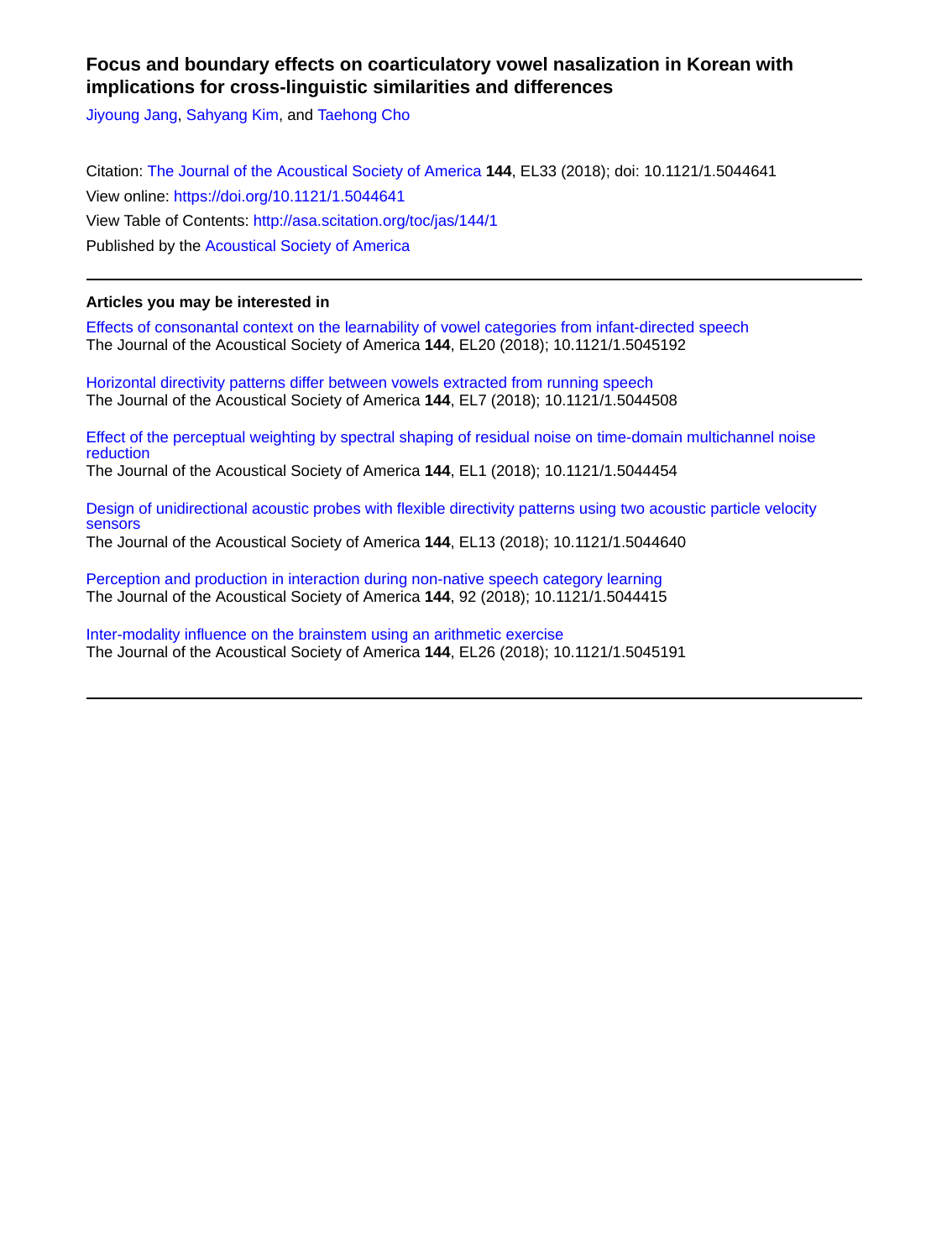# **Focus and boundary effects on coarticulatory vowel nasalization in Korean with implications for cross-linguistic similarities and differences**

[Jiyoung Jang](http://asa.scitation.org/author/Jang%2C+Jiyoung), [Sahyang Kim](http://asa.scitation.org/author/Kim%2C+Sahyang), and [Taehong Cho](http://asa.scitation.org/author/Cho%2C+Taehong)

Citation: [The Journal of the Acoustical Society of America](/loi/jas) **144**, EL33 (2018); doi: 10.1121/1.5044641 View online: <https://doi.org/10.1121/1.5044641> View Table of Contents: <http://asa.scitation.org/toc/jas/144/1> Published by the [Acoustical Society of America](http://asa.scitation.org/publisher/)

# **Articles you may be interested in**

[Effects of consonantal context on the learnability of vowel categories from infant-directed speech](http://asa.scitation.org/doi/abs/10.1121/1.5045192) The Journal of the Acoustical Society of America **144**, EL20 (2018); 10.1121/1.5045192

[Horizontal directivity patterns differ between vowels extracted from running speech](http://asa.scitation.org/doi/abs/10.1121/1.5044508) The Journal of the Acoustical Society of America **144**, EL7 (2018); 10.1121/1.5044508

[Effect of the perceptual weighting by spectral shaping of residual noise on time-domain multichannel noise](http://asa.scitation.org/doi/abs/10.1121/1.5044454) [reduction](http://asa.scitation.org/doi/abs/10.1121/1.5044454) The Journal of the Acoustical Society of America **144**, EL1 (2018); 10.1121/1.5044454

[Design of unidirectional acoustic probes with flexible directivity patterns using two acoustic particle velocity](http://asa.scitation.org/doi/abs/10.1121/1.5044640) [sensors](http://asa.scitation.org/doi/abs/10.1121/1.5044640) The Journal of the Acoustical Society of America **144**, EL13 (2018); 10.1121/1.5044640

[Perception and production in interaction during non-native speech category learning](http://asa.scitation.org/doi/abs/10.1121/1.5044415) The Journal of the Acoustical Society of America **144**, 92 (2018); 10.1121/1.5044415

[Inter-modality influence on the brainstem using an arithmetic exercise](http://asa.scitation.org/doi/abs/10.1121/1.5045191) The Journal of the Acoustical Society of America **144**, EL26 (2018); 10.1121/1.5045191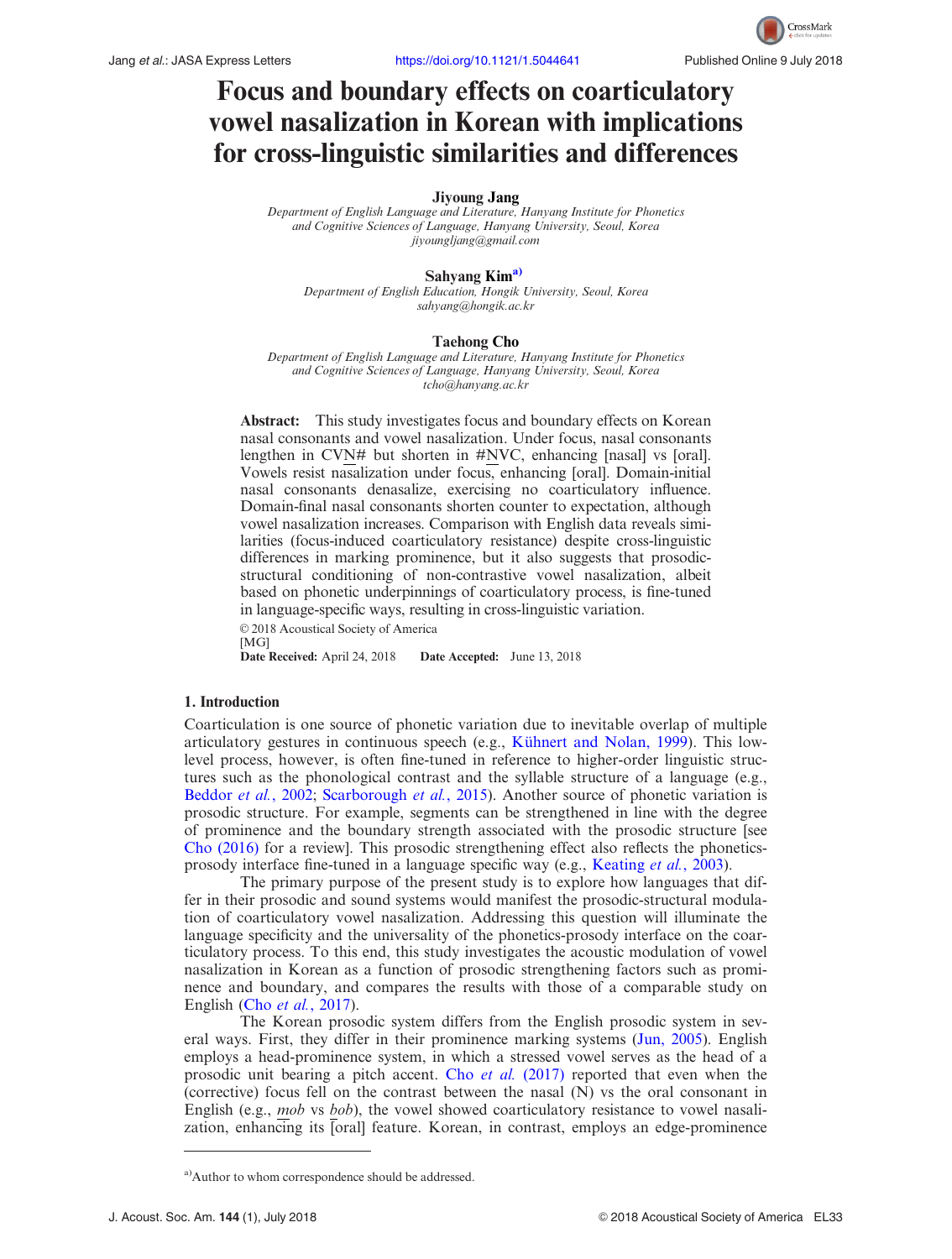

# Focus and boundary effects on coarticulatory vowel nasalization in Korean with implications for cross-linguistic similarities and differences

# Jiyoung Jang

Department of English Language and Literature, Hanyang Institute for Phonetics and Cognitive Sciences of Language, Hanyang University, Seoul, Korea [jiyoungljang@gmail.com](mailto:jiyoungljang@gmail.com)

# Sahyang Kim<sup>a)</sup>

Department of English Education, Hongik University, Seoul, Korea [sahyang@hongik.ac.kr](mailto:sahyang@hongik.ac.kr)

#### Taehong Cho

Department of English Language and Literature, Hanyang Institute for Phonetics and Cognitive Sciences of Language, Hanyang University, Seoul, Korea [tcho@hanyang.ac.kr](mailto:tcho@hanyang.ac.kr)

Abstract: This study investigates focus and boundary effects on Korean nasal consonants and vowel nasalization. Under focus, nasal consonants lengthen in CVN# but shorten in #NVC, enhancing [nasal] vs [oral]. Vowels resist nasalization under focus, enhancing [oral]. Domain-initial nasal consonants denasalize, exercising no coarticulatory influence. Domain-final nasal consonants shorten counter to expectation, although vowel nasalization increases. Comparison with English data reveals similarities (focus-induced coarticulatory resistance) despite cross-linguistic differences in marking prominence, but it also suggests that prosodicstructural conditioning of non-contrastive vowel nasalization, albeit based on phonetic underpinnings of coarticulatory process, is fine-tuned in language-specific ways, resulting in cross-linguistic variation.

© 2018 Acoustical Society of America [MG]<br>Date Received: April 24, 2018 Date Accepted: June 13, 2018

# 1. Introduction

Coarticulation is one source of phonetic variation due to inevitable overlap of multiple articulatory gestures in continuous speech (e.g., [K](#page-7-0)ü[hnert and Nolan, 1999](#page-7-0)). This lowlevel process, however, is often fine-tuned in reference to higher-order linguistic structures such as the phonological contrast and the syllable structure of a language (e.g., [Beddor](#page-7-0) et al., 2002; [Scarborough](#page-7-0) et al., 2015). Another source of phonetic variation is prosodic structure. For example, segments can be strengthened in line with the degree of prominence and the boundary strength associated with the prosodic structure [see [Cho \(2016\)](#page-7-0) for a review]. This prosodic strengthening effect also reflects the phonetics-prosody interface fine-tuned in a language specific way (e.g., [Keating](#page-7-0) et al., 2003).

The primary purpose of the present study is to explore how languages that differ in their prosodic and sound systems would manifest the prosodic-structural modulation of coarticulatory vowel nasalization. Addressing this question will illuminate the language specificity and the universality of the phonetics-prosody interface on the coarticulatory process. To this end, this study investigates the acoustic modulation of vowel nasalization in Korean as a function of prosodic strengthening factors such as prominence and boundary, and compares the results with those of a comparable study on English (Cho et al.[, 2017](#page-7-0)).

The Korean prosodic system differs from the English prosodic system in several ways. First, they differ in their prominence marking systems ([Jun, 2005\)](#page-7-0). English employs a head-prominence system, in which a stressed vowel serves as the head of a prosodic unit bearing a pitch accent. Cho et al. [\(2017\)](#page-7-0) reported that even when the (corrective) focus fell on the contrast between the nasal (N) vs the oral consonant in English (e.g., *mob* vs *bob*), the vowel showed coarticulatory resistance to vowel nasalization, enhancing its [oral] feature. Korean, in contrast, employs an edge-prominence

<sup>&</sup>lt;sup>a)</sup>Author to whom correspondence should be addressed.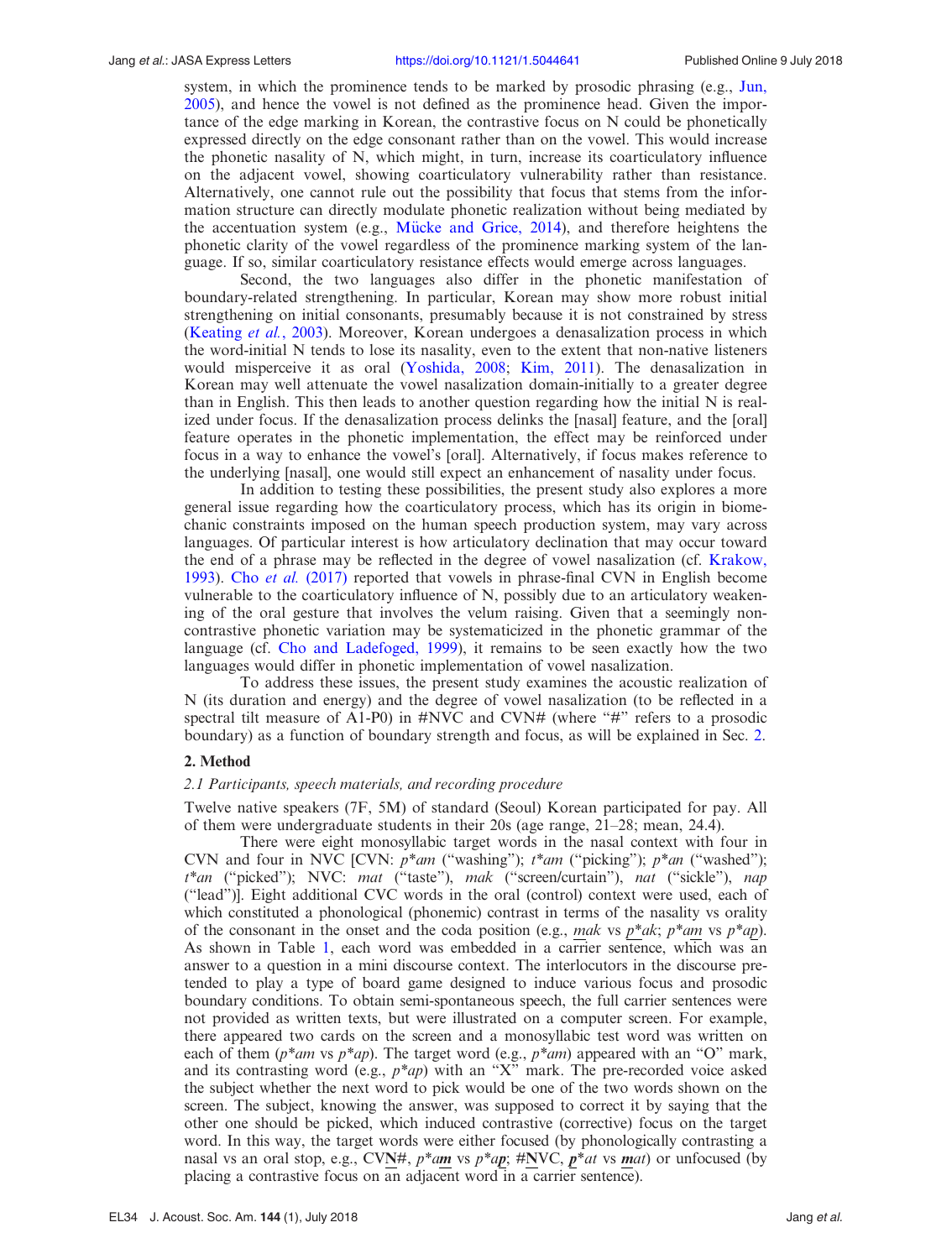#### Jang et al.: JASA Express Letters <https://doi.org/10.1121/1.5044641> Published Online 9 July 2018

system, in which the prominence tends to be marked by prosodic phrasing (e.g., [Jun,](#page-7-0) [2005\)](#page-7-0), and hence the vowel is not defined as the prominence head. Given the importance of the edge marking in Korean, the contrastive focus on N could be phonetically expressed directly on the edge consonant rather than on the vowel. This would increase the phonetic nasality of N, which might, in turn, increase its coarticulatory influence on the adjacent vowel, showing coarticulatory vulnerability rather than resistance. Alternatively, one cannot rule out the possibility that focus that stems from the information structure can directly modulate phonetic realization without being mediated by the accentuation system (e.g., [M](#page-7-0)ücke and Grice,  $2014$ ), and therefore heightens the phonetic clarity of the vowel regardless of the prominence marking system of the language. If so, similar coarticulatory resistance effects would emerge across languages.

Second, the two languages also differ in the phonetic manifestation of boundary-related strengthening. In particular, Korean may show more robust initial strengthening on initial consonants, presumably because it is not constrained by stress ([Keating](#page-7-0) et al., 2003). Moreover, Korean undergoes a denasalization process in which the word-initial N tends to lose its nasality, even to the extent that non-native listeners would misperceive it as oral ([Yoshida, 2008](#page-7-0); [Kim, 2011](#page-7-0)). The denasalization in Korean may well attenuate the vowel nasalization domain-initially to a greater degree than in English. This then leads to another question regarding how the initial N is realized under focus. If the denasalization process delinks the [nasal] feature, and the [oral] feature operates in the phonetic implementation, the effect may be reinforced under focus in a way to enhance the vowel's [oral]. Alternatively, if focus makes reference to the underlying [nasal], one would still expect an enhancement of nasality under focus.

In addition to testing these possibilities, the present study also explores a more general issue regarding how the coarticulatory process, which has its origin in biomechanic constraints imposed on the human speech production system, may vary across languages. Of particular interest is how articulatory declination that may occur toward the end of a phrase may be reflected in the degree of vowel nasalization (cf. [Krakow,](#page-7-0) [1993\)](#page-7-0). Cho et al. [\(2017\)](#page-7-0) reported that vowels in phrase-final CVN in English become vulnerable to the coarticulatory influence of N, possibly due to an articulatory weakening of the oral gesture that involves the velum raising. Given that a seemingly noncontrastive phonetic variation may be systematicized in the phonetic grammar of the language (cf. [Cho and Ladefoged, 1999](#page-7-0)), it remains to be seen exactly how the two languages would differ in phonetic implementation of vowel nasalization.

To address these issues, the present study examines the acoustic realization of N (its duration and energy) and the degree of vowel nasalization (to be reflected in a spectral tilt measure of A1-P0) in #NVC and CVN# (where "#" refers to a prosodic boundary) as a function of boundary strength and focus, as will be explained in Sec. 2.

# 2. Method

# 2.1 Participants, speech materials, and recording procedure

Twelve native speakers (7F, 5M) of standard (Seoul) Korean participated for pay. All of them were undergraduate students in their 20s (age range, 21–28; mean, 24.4).

There were eight monosyllabic target words in the nasal context with four in CVN and four in NVC [CVN:  $p*am$  ("washing");  $t*am$  ("picking");  $p*an$  ("washed"); t<sup>\*</sup>an ("picked"); NVC: mat ("taste"), mak ("screen/curtain"), nat ("sickle"), nap ("lead")]. Eight additional CVC words in the oral (control) context were used, each of which constituted a phonological (phonemic) contrast in terms of the nasality vs orality of the consonant in the onset and the coda position (e.g., *mak* vs  $p^*ak$ ;  $p^*am$  vs  $p^*ap$ ). As shown in Table [1](#page-3-0), each word was embedded in a carrier sentence, which was an answer to a question in a mini discourse context. The interlocutors in the discourse pretended to play a type of board game designed to induce various focus and prosodic boundary conditions. To obtain semi-spontaneous speech, the full carrier sentences were not provided as written texts, but were illustrated on a computer screen. For example, there appeared two cards on the screen and a monosyllabic test word was written on each of them ( $p^*$ am vs  $p^*$ ap). The target word (e.g.,  $p^*$ am) appeared with an "O" mark, and its contrasting word (e.g.,  $p^*ap$ ) with an "X" mark. The pre-recorded voice asked the subject whether the next word to pick would be one of the two words shown on the screen. The subject, knowing the answer, was supposed to correct it by saying that the other one should be picked, which induced contrastive (corrective) focus on the target word. In this way, the target words were either focused (by phonologically contrasting a nasal vs an oral stop, e.g., CVN#,  $p^* a m$  vs  $p^* a p$ ; #NVC,  $p^* a t$  vs mat) or unfocused (by placing a contrastive focus on an adjacent word in a carrier sentence).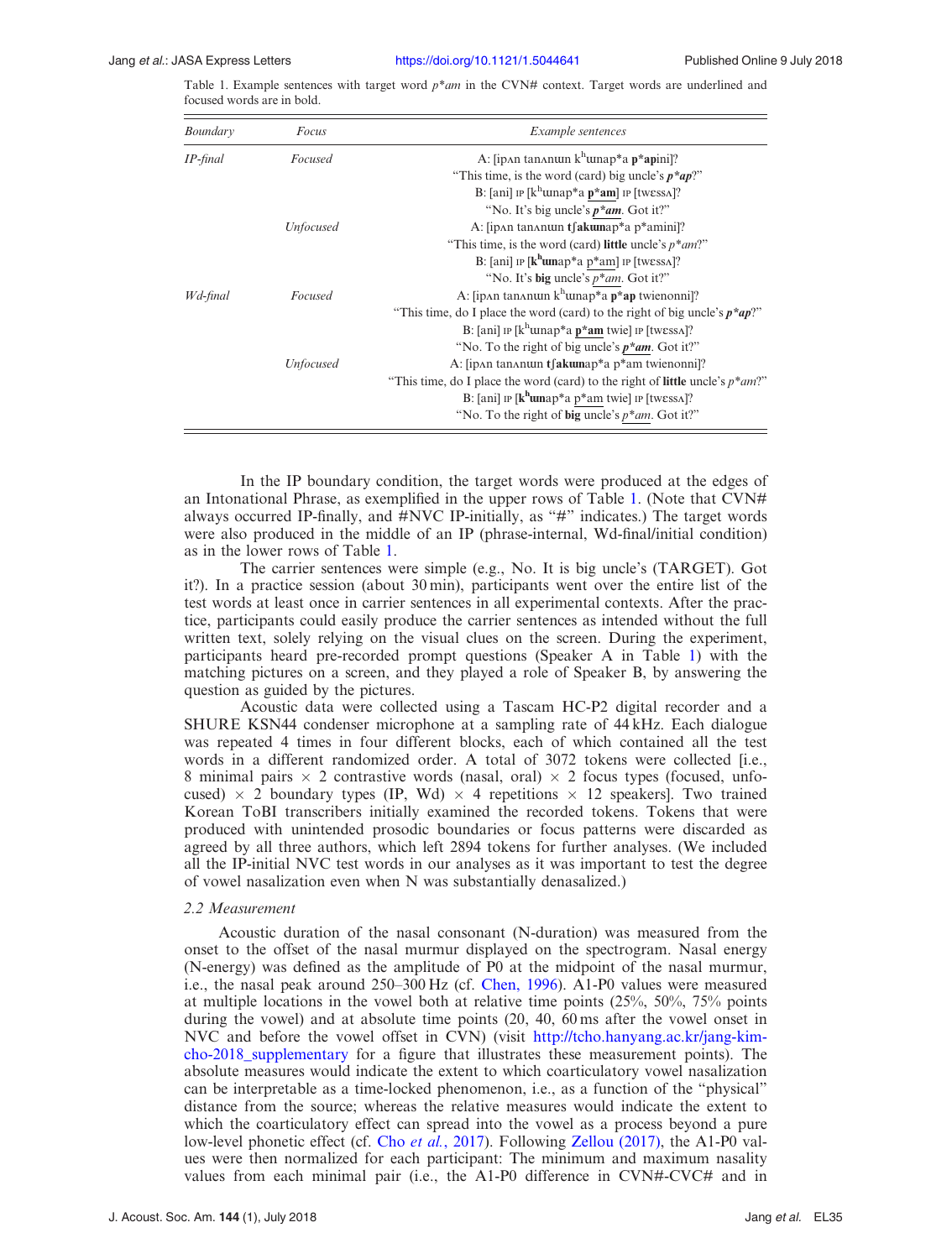| Boundary | Focus            | <i>Example sentences</i>                                                                |
|----------|------------------|-----------------------------------------------------------------------------------------|
| IP-final | Focused          | A: [ipʌn tanʌnun k <sup>h</sup> unap*a p*apini]?                                        |
|          |                  | "This time, is the word (card) big uncle's $p^*ap$ ?"                                   |
|          |                  | B: [ani] IP [ $k^h$ <b>u</b> nap*a $p^*$ <b>am</b> ] IP [twess $\Lambda$ ]?             |
|          |                  | "No. It's big uncle's <i>p</i> * <i>am</i> . Got it?"                                   |
|          | <b>Unfocused</b> | A: [ipʌn tanʌnun tʃakumap*a p*amini]?                                                   |
|          |                  | "This time, is the word (card) little uncle's $p^*am$ ?"                                |
|          |                  | B: [ani] IP [ $\mathbf{k}^{\mathbf{h}}$ <b>un</b> ap*a p*am] IP [twess $\Lambda$ ]?     |
|          |                  | "No. It's big uncle's p*am. Got it?"                                                    |
| Wd-final | Focused          | A: [ipʌn tanʌnun k <sup>h</sup> unap*a p*ap twienonni]?                                 |
|          |                  | "This time, do I place the word (card) to the right of big uncle's $p * ap$ ?"          |
|          |                  | B: [ani] IP [k <sup>h</sup> umap*a p*am twie] IP [twessA]?                              |
|          |                  | "No. To the right of big uncle's $p^*$ am. Got it?"                                     |
|          | <b>Unfocused</b> | A: [ipʌn tanʌnun tʃakumap*a p*am twienonni]?                                            |
|          |                  | "This time, do I place the word (card) to the right of <b>little</b> uncle's $p^*am$ ?" |
|          |                  | B: [ani] IP [k <sup>h</sup> umap*a p*am twie] IP [twessA]?                              |
|          |                  | "No. To the right of big uncle's $p^*$ am. Got it?"                                     |

<span id="page-3-0"></span>Table 1. Example sentences with target word  $p*am$  in the CVN# context. Target words are underlined and focused words are in bold.

In the IP boundary condition, the target words were produced at the edges of an Intonational Phrase, as exemplified in the upper rows of Table 1. (Note that  $CVN#$ always occurred IP-finally, and #NVC IP-initially, as "#" indicates.) The target words were also produced in the middle of an IP (phrase-internal, Wd-final/initial condition) as in the lower rows of Table 1.

The carrier sentences were simple (e.g., No. It is big uncle's (TARGET). Got it?). In a practice session (about 30 min), participants went over the entire list of the test words at least once in carrier sentences in all experimental contexts. After the practice, participants could easily produce the carrier sentences as intended without the full written text, solely relying on the visual clues on the screen. During the experiment, participants heard pre-recorded prompt questions (Speaker A in Table 1) with the matching pictures on a screen, and they played a role of Speaker B, by answering the question as guided by the pictures.

Acoustic data were collected using a Tascam HC-P2 digital recorder and a SHURE KSN44 condenser microphone at a sampling rate of 44 kHz. Each dialogue was repeated 4 times in four different blocks, each of which contained all the test words in a different randomized order. A total of 3072 tokens were collected [i.e., 8 minimal pairs  $\times$  2 contrastive words (nasal, oral)  $\times$  2 focus types (focused, unfocused)  $\times$  2 boundary types (IP, Wd)  $\times$  4 repetitions  $\times$  12 speakers]. Two trained Korean ToBI transcribers initially examined the recorded tokens. Tokens that were produced with unintended prosodic boundaries or focus patterns were discarded as agreed by all three authors, which left 2894 tokens for further analyses. (We included all the IP-initial NVC test words in our analyses as it was important to test the degree of vowel nasalization even when N was substantially denasalized.)

#### 2.2 Measurement

Acoustic duration of the nasal consonant (N-duration) was measured from the onset to the offset of the nasal murmur displayed on the spectrogram. Nasal energy (N-energy) was defined as the amplitude of P0 at the midpoint of the nasal murmur, i.e., the nasal peak around 250–300 Hz (cf. [Chen, 1996\)](#page-7-0). A1-P0 values were measured at multiple locations in the vowel both at relative time points  $(25\%, 50\%, 75\%$  points during the vowel) and at absolute time points (20, 40, 60 ms after the vowel onset in NVC and before the vowel offset in CVN) (visit [http://tcho.hanyang.ac.kr/jang-kim](http://tcho.hanyang.ac.kr/jang-kim-cho-2018_supplementary)[cho-2018\\_supplementary](http://tcho.hanyang.ac.kr/jang-kim-cho-2018_supplementary) for a figure that illustrates these measurement points). The absolute measures would indicate the extent to which coarticulatory vowel nasalization can be interpretable as a time-locked phenomenon, i.e., as a function of the "physical" distance from the source; whereas the relative measures would indicate the extent to which the coarticulatory effect can spread into the vowel as a process beyond a pure low-level phonetic effect (cf. Cho et al.[, 2017\)](#page-7-0). Following [Zellou \(2017\),](#page-7-0) the A1-P0 values were then normalized for each participant: The minimum and maximum nasality values from each minimal pair (i.e., the A1-P0 difference in CVN#-CVC# and in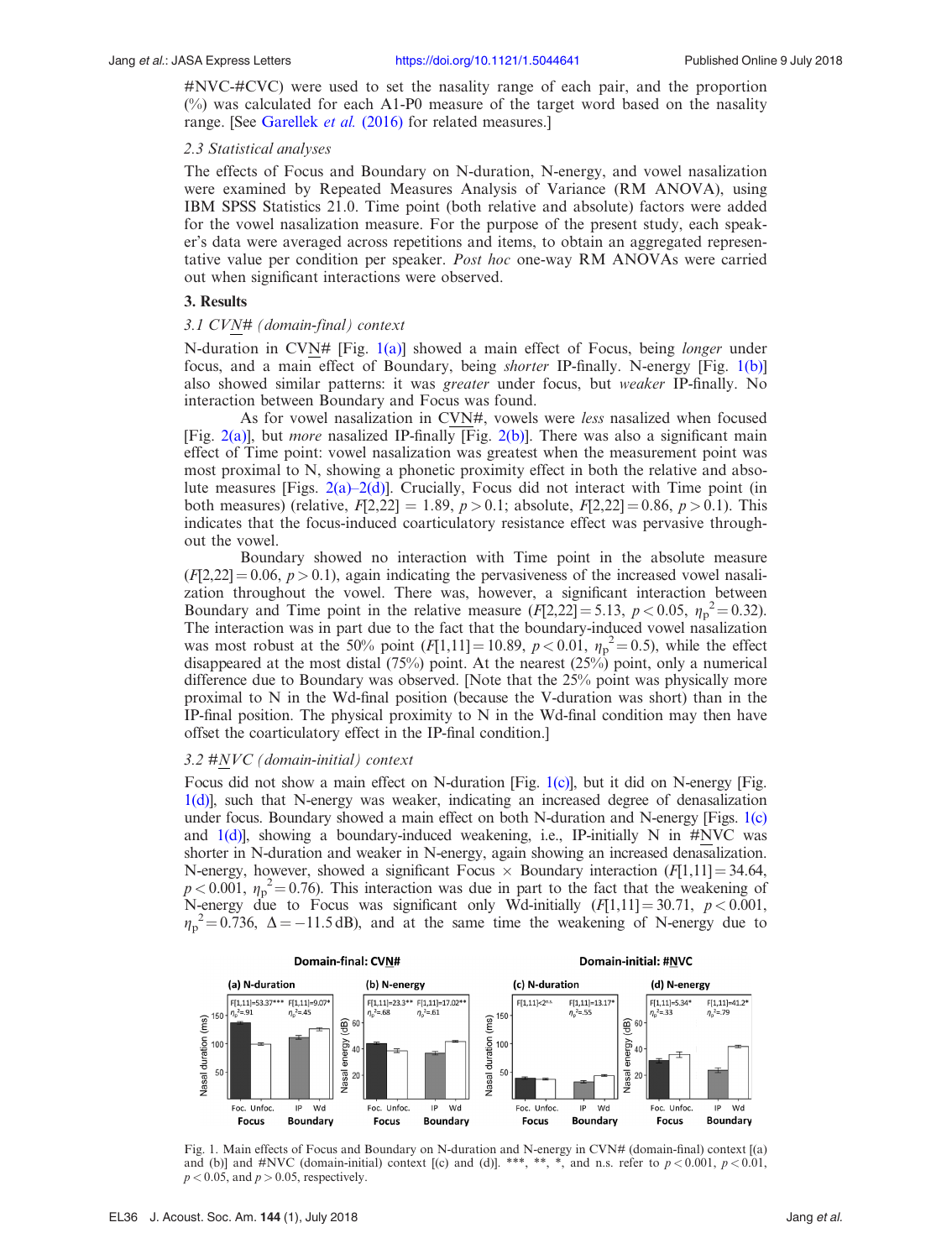#NVC-#CVC) were used to set the nasality range of each pair, and the proportion  $(\%)$  was calculated for each A1-P0 measure of the target word based on the nasality range. [See [Garellek](#page-7-0) *et al.* (2016) for related measures.]

### 2.3 Statistical analyses

The effects of Focus and Boundary on N-duration, N-energy, and vowel nasalization were examined by Repeated Measures Analysis of Variance (RM ANOVA), using IBM SPSS Statistics 21.0. Time point (both relative and absolute) factors were added for the vowel nasalization measure. For the purpose of the present study, each speaker's data were averaged across repetitions and items, to obtain an aggregated representative value per condition per speaker. Post hoc one-way RM ANOVAs were carried out when significant interactions were observed.

# 3. Results

# 3.1 CVN# (domain-final) context

N-duration in CVN# [Fig. 1(a)] showed a main effect of Focus, being *longer* under focus, and a main effect of Boundary, being shorter IP-finally. N-energy [Fig. 1(b)] also showed similar patterns: it was greater under focus, but weaker IP-finally. No interaction between Boundary and Focus was found.

As for vowel nasalization in CVN#, vowels were less nasalized when focused [Fig. [2\(a\)\]](#page-5-0), but *more* nasalized IP-finally [Fig. [2\(b\)](#page-5-0)]. There was also a significant main effect of Time point: vowel nasalization was greatest when the measurement point was most proximal to N, showing a phonetic proximity effect in both the relative and absolute measures [Figs.  $2(a)-2(d)$ ]. Crucially, Focus did not interact with Time point (in both measures) (relative,  $F[2,22] = 1.89$ ,  $p > 0.1$ ; absolute,  $F[2,22] = 0.86$ ,  $p > 0.1$ ). This indicates that the focus-induced coarticulatory resistance effect was pervasive throughout the vowel.

Boundary showed no interaction with Time point in the absolute measure  $(F[2,22] = 0.06, p > 0.1)$ , again indicating the pervasiveness of the increased vowel nasalization throughout the vowel. There was, however, a significant interaction between Boundary and Time point in the relative measure  $(F[2,22] = 5.13, p < 0.05, \eta_p^2 = 0.32)$ . The interaction was in part due to the fact that the boundary-induced vowel nasalization was most robust at the 50% point  $(F[1,11] = 10.89, p < 0.01, \eta_p^2 = 0.5)$ , while the effect disappeared at the most distal  $(75%)$  point. At the nearest  $(25%)$  point, only a numerical difference due to Boundary was observed. [Note that the 25% point was physically more proximal to N in the Wd-final position (because the V-duration was short) than in the IP-final position. The physical proximity to  $N$  in the Wd-final condition may then have offset the coarticulatory effect in the IP-final condition.]

#### 3.2 #NVC (domain-initial) context

Focus did not show a main effect on N-duration [Fig. 1(c)], but it did on N-energy [Fig. 1(d)], such that N-energy was weaker, indicating an increased degree of denasalization under focus. Boundary showed a main effect on both N-duration and N-energy [Figs. 1(c) and  $1(d)$ , showing a boundary-induced weakening, i.e., IP-initially N in  $\#NVC$  was shorter in N-duration and weaker in N-energy, again showing an increased denasalization. N-energy, however, showed a significant Focus  $\times$  Boundary interaction (*F*[1,11] = 34.64,  $p < 0.001$ ,  $\eta_p^2 = 0.76$ ). This interaction was due in part to the fact that the weakening of N-energy due to Focus was significant only Wd-initially  $(F[1,11] = 30.71, p < 0.001,$  $\eta_p^2 = 0.736$ ,  $\Delta = -11.5$  dB), and at the same time the weakening of N-energy due to



Fig. 1. Main effects of Focus and Boundary on N-duration and N-energy in CVN# (domain-final) context [(a) and (b)] and #NVC (domain-initial) context [(c) and (d)]. \*\*\*, \*\*, \*, and n.s. refer to  $p < 0.001$ ,  $p < 0.01$ ,  $p < 0.05$ , and  $p > 0.05$ , respectively.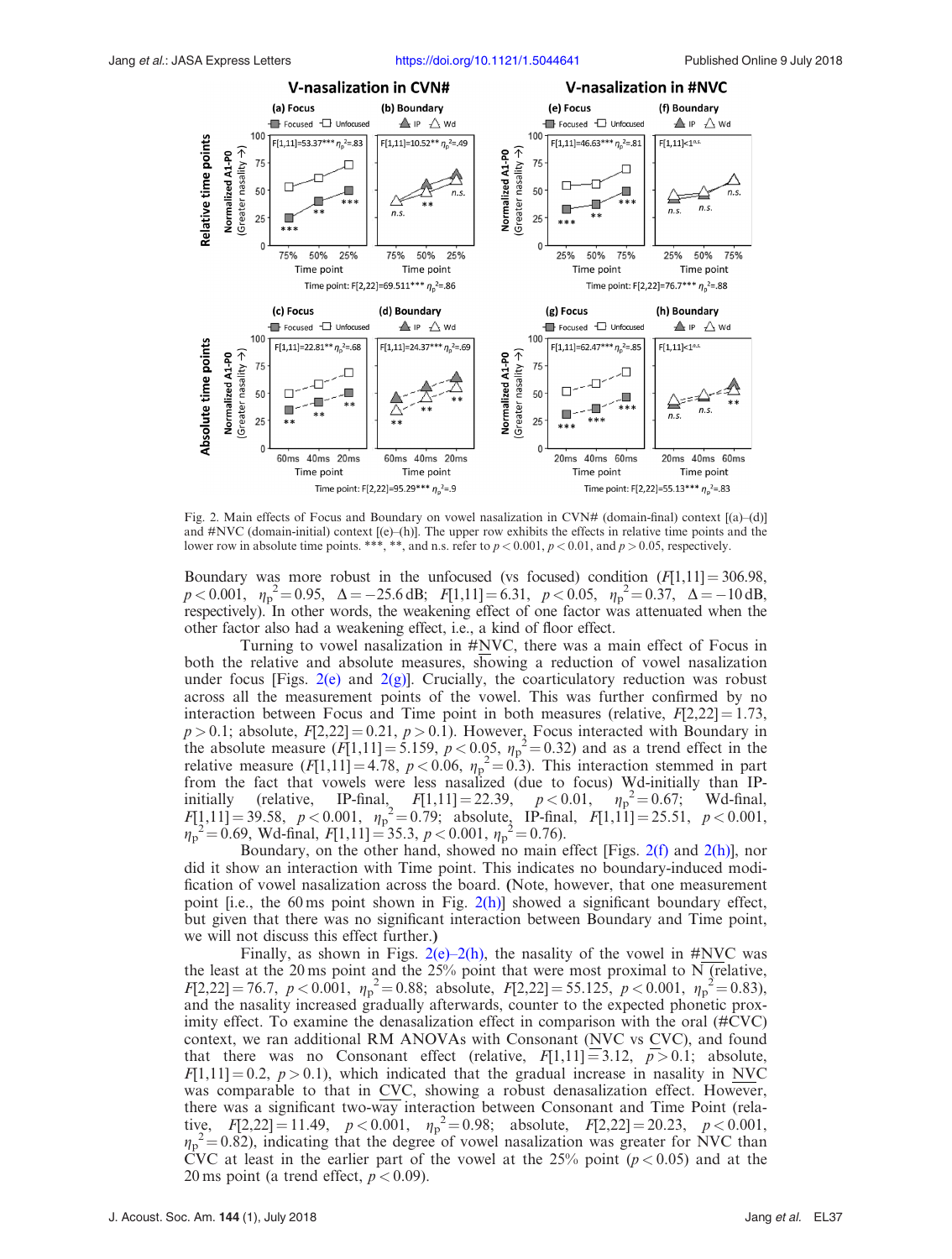<span id="page-5-0"></span>

Fig. 2. Main effects of Focus and Boundary on vowel nasalization in CVN# (domain-final) context [(a)–(d)] and  $#NVC$  (domain-initial) context  $[(e)$ –(h)]. The upper row exhibits the effects in relative time points and the lower row in absolute time points. \*\*\*, \*\*, and n.s. refer to  $p < 0.001$ ,  $p < 0.01$ , and  $p > 0.05$ , respectively.

Boundary was more robust in the unfocused (vs focused) condition  $(F[1,11] = 306.98$ ,  $p < 0.001$ ,  $\eta_p^2 = 0.95$ ,  $\Delta = -25.6$  dB;  $F[1,11] = 6.31$ ,  $p < 0.05$ ,  $\eta_p^2 = 0.37$ ,  $\Delta = -10$  dB, respectively). In other words, the weakening effect of one factor was attenuated when the other factor also had a weakening effect, i.e., a kind of floor effect.

Turning to vowel nasalization in #NVC, there was a main effect of Focus in both the relative and absolute measures, showing a reduction of vowel nasalization under focus [Figs.  $2(e)$  and  $2(g)$ ]. Crucially, the coarticulatory reduction was robust across all the measurement points of the vowel. This was further confirmed by no interaction between Focus and Time point in both measures (relative,  $F[2,22] = 1.73$ ,  $p > 0.1$ ; absolute,  $F[2,22] = 0.21$ ,  $p > 0.1$ ). However, Focus interacted with Boundary in the absolute measure  $(F[1,11] = 5.159, p < 0.05, \eta_p^2 = 0.32)$  and as a trend effect in the relative measure  $(F[1,11] = 4.78, p < 0.06, \eta_p^2 = 0.3$ ). This interaction stemmed in part from the fact that vowels were less nasalized (due to focus) Wd-initially than IPinitially (relative, IP-final,  $F[1,11] = 22.39$ ,  $p < 0.01$ ,  $n_p^2 = 0.67$ ; Wd-final,  $F[1,11] = 39.58$ ,  $p < 0.001$ ,  $\eta_p^2 = 0.79$ ; absolute, IP-final,  $F[1,11] = 25.51$ ,  $p < 0.001$ ,  $\eta_{\rm p}^2 = 0.69$ , Wd-final,  $F[1,11] = 35.3$ ,  $p < 0.001$ ,  $\eta_{\rm p}^2 = 0.76$ ).

Boundary, on the other hand, showed no main effect [Figs.  $2(f)$  and  $2(h)$ ], nor did it show an interaction with Time point. This indicates no boundary-induced modification of vowel nasalization across the board. (Note, however, that one measurement point [i.e., the 60 ms point shown in Fig. 2(h)] showed a significant boundary effect, but given that there was no significant interaction between Boundary and Time point, we will not discuss this effect further.)

Finally, as shown in Figs.  $2(e) - 2(h)$ , the nasality of the vowel in #NVC was the least at the 20 ms point and the  $25\%$  point that were most proximal to N (relative,  $F[2,22] = 76.7, p < 0.001, \eta_p^2 = 0.88;$  absolute,  $F[2,22] = 55.125, p < 0.001, \eta_p^2 = 0.83$ ), and the nasality increased gradually afterwards, counter to the expected phonetic proximity effect. To examine the denasalization effect in comparison with the oral (#CVC) context, we ran additional RM ANOVAs with Consonant (NVC vs CVC), and found that there was no Consonant effect (relative,  $F[1,11] = 3.12$ ,  $p > 0.1$ ; absolute,  $F[1,11] = 0.2$ ,  $p > 0.1$ ), which indicated that the gradual increase in nasality in NVC was comparable to that in  $CVC$ , showing a robust denasalization effect. However, there was a significant two-way interaction between Consonant and Time Point (relative,  $F[2,22] = 11.49$ ,  $p < 0.001$ ,  $\eta_p^2 = 0.98$ ; absolute,  $F[2,22] = 20.23$ ,  $p < 0.001$ ,  $\eta_p^2 = 0.82$ ), indicating that the degree of vowel nasalization was greater for NVC than CVC at least in the earlier part of the vowel at the 25% point  $(p < 0.05)$  and at the 20 ms point (a trend effect,  $p < 0.09$ ).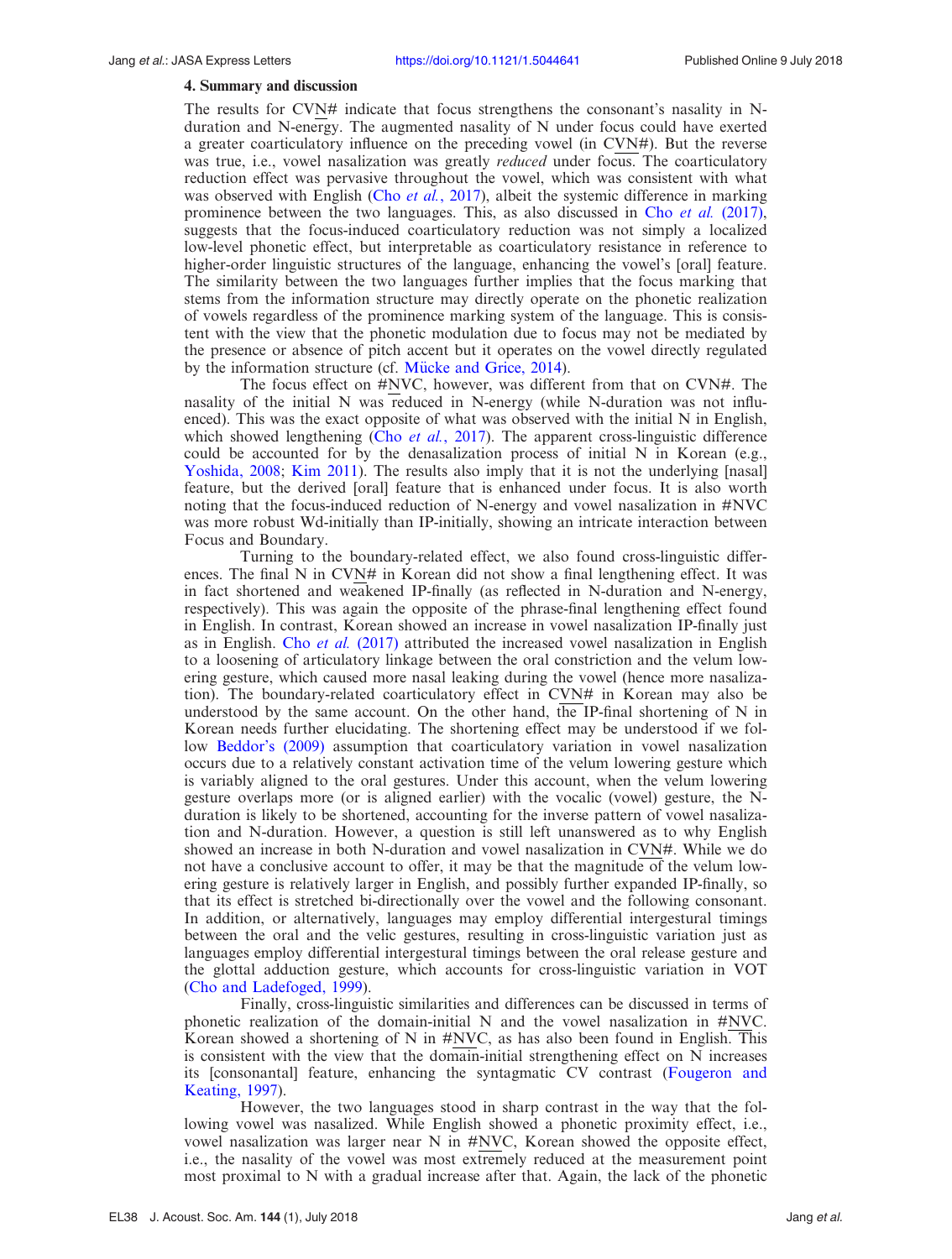#### 4. Summary and discussion

The results for CVN# indicate that focus strengthens the consonant's nasality in Nduration and N-energy. The augmented nasality of N under focus could have exerted a greater coarticulatory influence on the preceding vowel (in CVN#). But the reverse was true, i.e., vowel nasalization was greatly *reduced* under focus. The coarticulatory reduction effect was pervasive throughout the vowel, which was consistent with what was observed with English (Cho et al.[, 2017](#page-7-0)), albeit the systemic difference in marking prominence between the two languages. This, as also discussed in Cho *et al.* [\(2017\),](#page-7-0) suggests that the focus-induced coarticulatory reduction was not simply a localized low-level phonetic effect, but interpretable as coarticulatory resistance in reference to higher-order linguistic structures of the language, enhancing the vowel's [oral] feature. The similarity between the two languages further implies that the focus marking that stems from the information structure may directly operate on the phonetic realization of vowels regardless of the prominence marking system of the language. This is consistent with the view that the phonetic modulation due to focus may not be mediated by the presence or absence of pitch accent but it operates on the vowel directly regulated by the information structure (cf. Mücke and Grice, 2014).

The focus effect on #NVC, however, was different from that on CVN#. The nasality of the initial N was reduced in N-energy (while N-duration was not influenced). This was the exact opposite of what was observed with the initial N in English, which showed lengthening (Cho *et al.*[, 2017](#page-7-0)). The apparent cross-linguistic difference could be accounted for by the denasalization process of initial N in Korean (e.g., [Yoshida, 2008;](#page-7-0) [Kim 2011\)](#page-7-0). The results also imply that it is not the underlying [nasal] feature, but the derived [oral] feature that is enhanced under focus. It is also worth noting that the focus-induced reduction of N-energy and vowel nasalization in #NVC was more robust Wd-initially than IP-initially, showing an intricate interaction between Focus and Boundary.

Turning to the boundary-related effect, we also found cross-linguistic differences. The final N in CVN# in Korean did not show a final lengthening effect. It was in fact shortened and weakened IP-finally (as reflected in N-duration and N-energy, respectively). This was again the opposite of the phrase-final lengthening effect found in English. In contrast, Korean showed an increase in vowel nasalization IP-finally just as in English. Cho et al.  $(2017)$  attributed the increased vowel nasalization in English to a loosening of articulatory linkage between the oral constriction and the velum lowering gesture, which caused more nasal leaking during the vowel (hence more nasalization). The boundary-related coarticulatory effect in CVN# in Korean may also be understood by the same account. On the other hand, the IP-final shortening of  $N$  in Korean needs further elucidating. The shortening effect may be understood if we follow [Beddor's \(2009\)](#page-7-0) assumption that coarticulatory variation in vowel nasalization occurs due to a relatively constant activation time of the velum lowering gesture which is variably aligned to the oral gestures. Under this account, when the velum lowering gesture overlaps more (or is aligned earlier) with the vocalic (vowel) gesture, the Nduration is likely to be shortened, accounting for the inverse pattern of vowel nasalization and N-duration. However, a question is still left unanswered as to why English showed an increase in both N-duration and vowel nasalization in CVN#. While we do not have a conclusive account to offer, it may be that the magnitude of the velum lowering gesture is relatively larger in English, and possibly further expanded IP-finally, so that its effect is stretched bi-directionally over the vowel and the following consonant. In addition, or alternatively, languages may employ differential intergestural timings between the oral and the velic gestures, resulting in cross-linguistic variation just as languages employ differential intergestural timings between the oral release gesture and the glottal adduction gesture, which accounts for cross-linguistic variation in VOT ([Cho and Ladefoged, 1999](#page-7-0)).

Finally, cross-linguistic similarities and differences can be discussed in terms of phonetic realization of the domain-initial N and the vowel nasalization in #NVC. Korean showed a shortening of N in #NVC, as has also been found in English. This is consistent with the view that the domain-initial strengthening effect on N increases its [consonantal] feature, enhancing the syntagmatic CV contrast [\(Fougeron and](#page-7-0) [Keating, 1997\)](#page-7-0).

However, the two languages stood in sharp contrast in the way that the following vowel was nasalized. While English showed a phonetic proximity effect, i.e., vowel nasalization was larger near N in #NVC, Korean showed the opposite effect, i.e., the nasality of the vowel was most extremely reduced at the measurement point most proximal to N with a gradual increase after that. Again, the lack of the phonetic